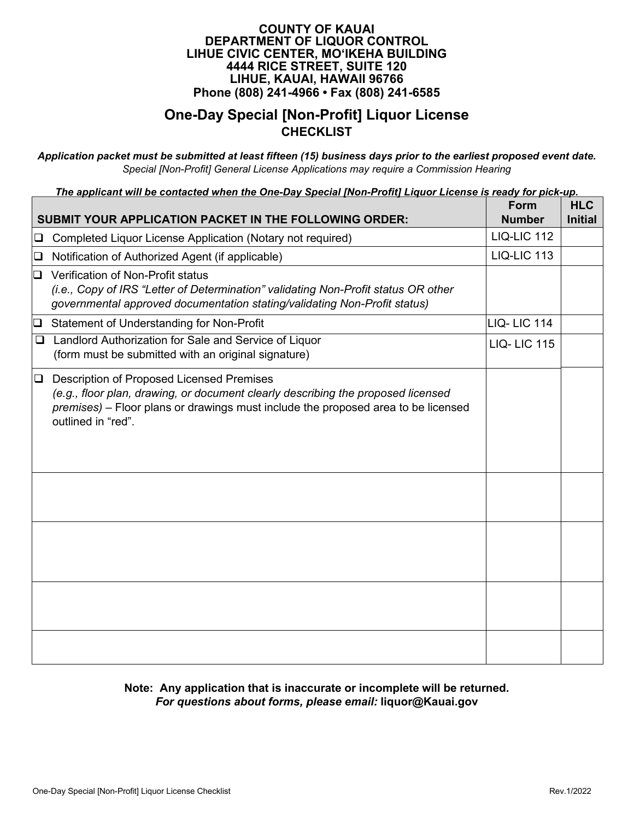### **One-Day Special [Non-Profit] Liquor License CHECKLIST**

*Application packet must be submitted at least fifteen (15) business days prior to the earliest proposed event date. Special [Non-Profit] General License Applications may require a Commission Hearing* 

*The applicant will be contacted when the One-Day Special [Non-Profit] Liquor License is ready for pick-up.* 

|        | <b>SUBMIT YOUR APPLICATION PACKET IN THE FOLLOWING ORDER:</b>                                                                                                                                                                                   | Form<br><b>Number</b> | <b>HLC</b><br><b>Initial</b> |
|--------|-------------------------------------------------------------------------------------------------------------------------------------------------------------------------------------------------------------------------------------------------|-----------------------|------------------------------|
| $\Box$ | Completed Liquor License Application (Notary not required)                                                                                                                                                                                      | <b>LIQ-LIC 112</b>    |                              |
| $\Box$ | Notification of Authorized Agent (if applicable)                                                                                                                                                                                                | <b>LIQ-LIC 113</b>    |                              |
| 0      | Verification of Non-Profit status<br>(i.e., Copy of IRS "Letter of Determination" validating Non-Profit status OR other<br>governmental approved documentation stating/validating Non-Profit status)                                            |                       |                              |
| $\Box$ | Statement of Understanding for Non-Profit                                                                                                                                                                                                       | LIQ-LIC 114           |                              |
| ❏      | Landlord Authorization for Sale and Service of Liquor<br>(form must be submitted with an original signature)                                                                                                                                    | <b>LIQ-LIC 115</b>    |                              |
| $\Box$ | <b>Description of Proposed Licensed Premises</b><br>(e.g., floor plan, drawing, or document clearly describing the proposed licensed<br>premises) – Floor plans or drawings must include the proposed area to be licensed<br>outlined in "red". |                       |                              |
|        |                                                                                                                                                                                                                                                 |                       |                              |
|        |                                                                                                                                                                                                                                                 |                       |                              |
|        |                                                                                                                                                                                                                                                 |                       |                              |
|        |                                                                                                                                                                                                                                                 |                       |                              |

**Note: Any application that is inaccurate or incomplete will be returned.**  *For questions about forms, please email:* **[liquor@Kauai.gov](mailto:HLC@honolulu.gov)**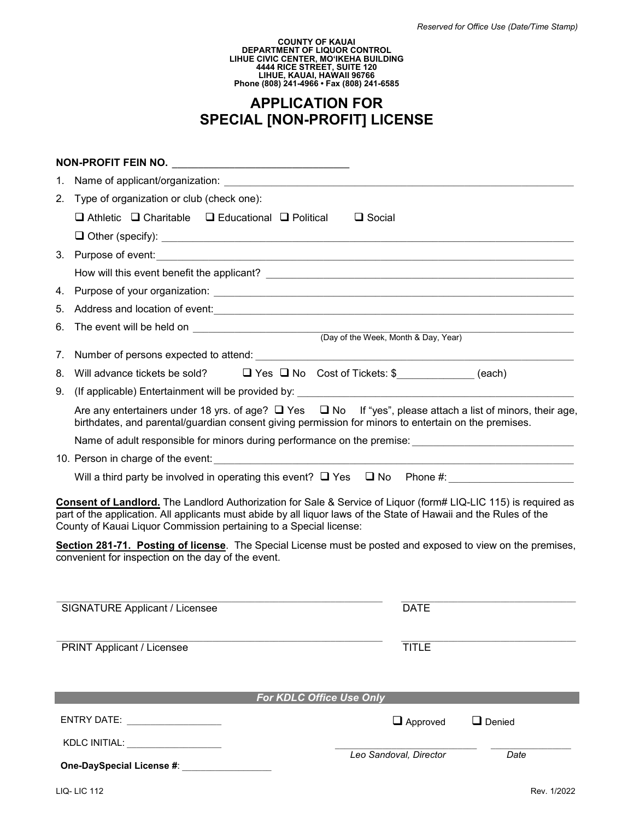# **APPLICATION FOR SPECIAL [NON-PROFIT] LICENSE**

| Name of applicant/organization: Name of applicant/organization:<br>1.<br>2.<br>Type of organization or club (check one):<br>$\Box$ Athletic $\Box$ Charitable $\Box$ Educational $\Box$ Political<br>$\Box$ Social                                                                                                                                                                                                                                                              |                                  |
|---------------------------------------------------------------------------------------------------------------------------------------------------------------------------------------------------------------------------------------------------------------------------------------------------------------------------------------------------------------------------------------------------------------------------------------------------------------------------------|----------------------------------|
|                                                                                                                                                                                                                                                                                                                                                                                                                                                                                 |                                  |
|                                                                                                                                                                                                                                                                                                                                                                                                                                                                                 |                                  |
|                                                                                                                                                                                                                                                                                                                                                                                                                                                                                 |                                  |
|                                                                                                                                                                                                                                                                                                                                                                                                                                                                                 |                                  |
| 3. Purpose of event: <u>contract and a series of events</u> and a series of events and a series of events and a series of events and a series of events and a series of events and a series of events and a series of events and a                                                                                                                                                                                                                                              |                                  |
|                                                                                                                                                                                                                                                                                                                                                                                                                                                                                 |                                  |
| 4.                                                                                                                                                                                                                                                                                                                                                                                                                                                                              |                                  |
| Address and location of event:<br><u> and</u> the contract of the contract of the contract of the contract of the contract of the contract of the contract of the contract of the contract of the contract of the contract of the con<br>5.                                                                                                                                                                                                                                     |                                  |
| 6.                                                                                                                                                                                                                                                                                                                                                                                                                                                                              |                                  |
| 7.                                                                                                                                                                                                                                                                                                                                                                                                                                                                              |                                  |
| Will advance tickets be sold? $\Box$ Yes $\Box$ No Cost of Tickets: \$<br>(each)<br>8.                                                                                                                                                                                                                                                                                                                                                                                          |                                  |
| 9.                                                                                                                                                                                                                                                                                                                                                                                                                                                                              |                                  |
| Are any entertainers under 18 yrs. of age? Q Yes Q No If "yes", please attach a list of minors, their age,                                                                                                                                                                                                                                                                                                                                                                      |                                  |
| birthdates, and parental/guardian consent giving permission for minors to entertain on the premises.                                                                                                                                                                                                                                                                                                                                                                            |                                  |
| Name of adult responsible for minors during performance on the premise: [1983] [1983] [1983] [1983] [1983] [19                                                                                                                                                                                                                                                                                                                                                                  |                                  |
|                                                                                                                                                                                                                                                                                                                                                                                                                                                                                 |                                  |
| Will a third party be involved in operating this event? $\Box$ Yes $\Box$ No Phone #:                                                                                                                                                                                                                                                                                                                                                                                           |                                  |
| Consent of Landlord. The Landlord Authorization for Sale & Service of Liquor (form# LIQ-LIC 115) is required as<br>part of the application. All applicants must abide by all liquor laws of the State of Hawaii and the Rules of the<br>County of Kauai Liquor Commission pertaining to a Special license:<br>Section 281-71. Posting of license. The Special License must be posted and exposed to view on the premises,<br>convenient for inspection on the day of the event. |                                  |
| <b>SIGNATURE Applicant / Licensee</b>                                                                                                                                                                                                                                                                                                                                                                                                                                           | <b>DATE</b>                      |
| <b>PRINT Applicant / Licensee</b>                                                                                                                                                                                                                                                                                                                                                                                                                                               | <b>TITLE</b>                     |
| For KDLC Office Use Only                                                                                                                                                                                                                                                                                                                                                                                                                                                        |                                  |
| ENTRY DATE: ___________________                                                                                                                                                                                                                                                                                                                                                                                                                                                 | $\Box$ Approved<br>$\Box$ Denied |
| KDLC INITIAL: WELL ARE AN ARRIVED AND THE STATE OF THE STATE OF THE STATE OF THE STATE OF THE STATE OF THE STATE OF THE STATE OF THE STATE OF THE STATE OF THE STATE OF THE STATE OF THE STATE OF THE STATE OF THE STATE OF TH                                                                                                                                                                                                                                                  |                                  |
| One-DaySpecial License #:                                                                                                                                                                                                                                                                                                                                                                                                                                                       | Leo Sandoval, Director<br>Date   |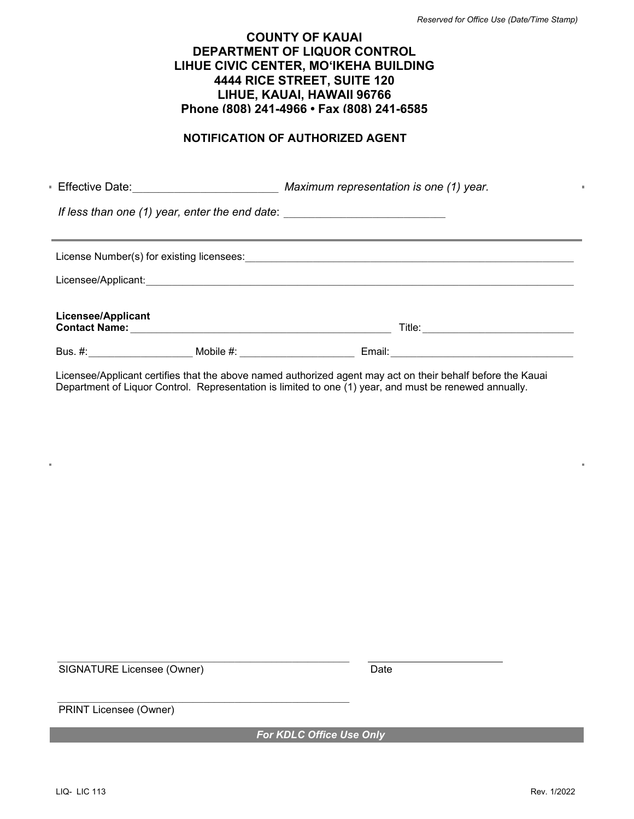#### **NOTIFICATION OF AUTHORIZED AGENT**

Effective Date:\_\_\_\_\_\_\_\_\_\_\_\_\_\_\_\_\_\_\_\_\_\_\_\_\_\_\_\_ *Maximum representation is one (1) year. If less than one (1) year, enter the end date:*  $\blacksquare$ License Number(s) for existing licensees:<br> Licensee/Applicant:  $\Box$ **Licensee/Applicant Contact Name:** \_\_\_\_\_\_\_\_\_\_\_\_\_\_\_\_\_\_\_\_\_\_\_\_\_\_\_\_\_\_\_\_\_\_\_\_\_\_\_\_\_\_\_\_\_\_\_\_\_\_ Title: \_\_\_\_\_\_\_\_\_\_\_\_\_\_\_\_\_\_\_\_\_\_\_\_\_\_\_\_\_ Bus. #:\_\_\_\_\_\_\_\_\_\_\_\_\_\_\_\_\_\_\_\_ Mobile #: \_\_\_\_\_\_\_\_\_\_\_\_\_\_\_\_\_\_\_\_\_\_ Email:\_\_\_\_\_\_\_\_\_\_\_\_\_\_\_\_\_\_\_\_\_\_\_\_\_\_\_\_\_\_\_\_\_\_\_

Licensee/Applicant certifies that the above named authorized agent may act on their behalf before the Kauai Department of Liquor Control. Representation is limited to one (1) year, and must be renewed annually.

SIGNATURE Licensee (Owner) Date

 $\_$  , and the set of the set of the set of the set of the set of the set of the set of the set of the set of the set of the set of the set of the set of the set of the set of the set of the set of the set of the set of th

\_\_\_\_\_\_\_\_\_\_\_\_\_\_\_\_\_\_\_\_\_\_\_\_\_\_\_\_\_\_\_\_\_\_\_\_\_\_\_\_\_\_\_\_\_\_\_\_\_\_\_\_\_\_\_\_

PRINT Licensee (Owner)

*For KDLC Office Use Only*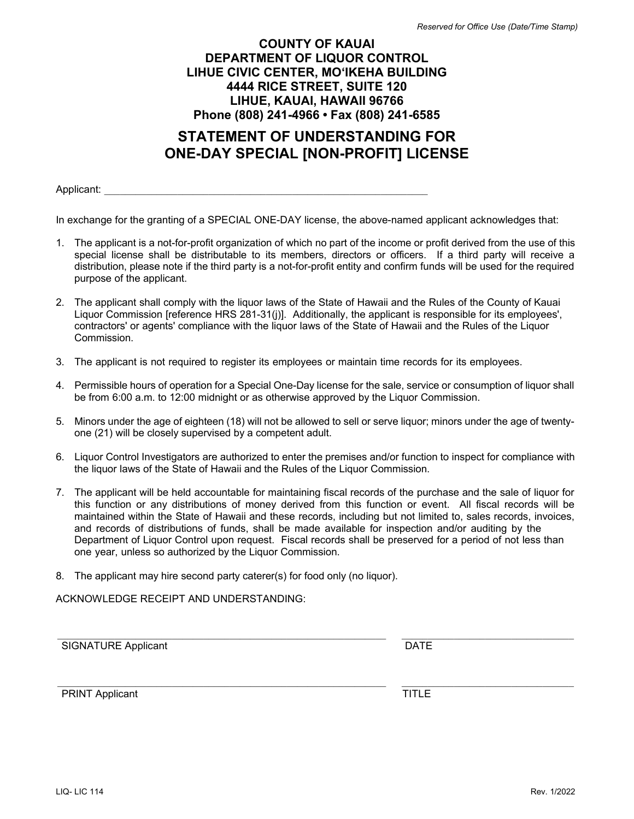# **STATEMENT OF UNDERSTANDING FOR ONE-DAY SPECIAL [NON-PROFIT] LICENSE**

Applicant:  $\blacksquare$ 

In exchange for the granting of a SPECIAL ONE-DAY license, the above-named applicant acknowledges that:

- 1. The applicant is a not-for-profit organization of which no part of the income or profit derived from the use of this special license shall be distributable to its members, directors or officers. If a third party will receive a distribution, please note if the third party is a not-for-profit entity and confirm funds will be used for the required purpose of the applicant.
- 2. The applicant shall comply with the liquor laws of the State of Hawaii and the Rules of the County of Kauai Liquor Commission [reference HRS 281-31(j)]. Additionally, the applicant is responsible for its employees', contractors' or agents' compliance with the liquor laws of the State of Hawaii and the Rules of the Liquor Commission.
- 3. The applicant is not required to register its employees or maintain time records for its employees.
- 4. Permissible hours of operation for a Special One-Day license for the sale, service or consumption of liquor shall be from 6:00 a.m. to 12:00 midnight or as otherwise approved by the Liquor Commission.
- 5. Minors under the age of eighteen (18) will not be allowed to sell or serve liquor; minors under the age of twentyone (21) will be closely supervised by a competent adult.
- 6. Liquor Control Investigators are authorized to enter the premises and/or function to inspect for compliance with the liquor laws of the State of Hawaii and the Rules of the Liquor Commission.
- 7. The applicant will be held accountable for maintaining fiscal records of the purchase and the sale of liquor for this function or any distributions of money derived from this function or event. All fiscal records will be maintained within the State of Hawaii and these records, including but not limited to, sales records, invoices, and records of distributions of funds, shall be made available for inspection and/or auditing by the Department of Liquor Control upon request. Fiscal records shall be preserved for a period of not less than one year, unless so authorized by the Liquor Commission.

 $\_$  , and the set of the set of the set of the set of the set of the set of the set of the set of the set of the set of the set of the set of the set of the set of the set of the set of the set of the set of the set of th

8. The applicant may hire second party caterer(s) for food only (no liquor).

ACKNOWLEDGE RECEIPT AND UNDERSTANDING:

SIGNATURE Applicant **DATE** 

PRINT Applicant TITLE

 $\_$  , and the state of the state of the state of the state of the state of the state of the state of the state of the state of the state of the state of the state of the state of the state of the state of the state of the